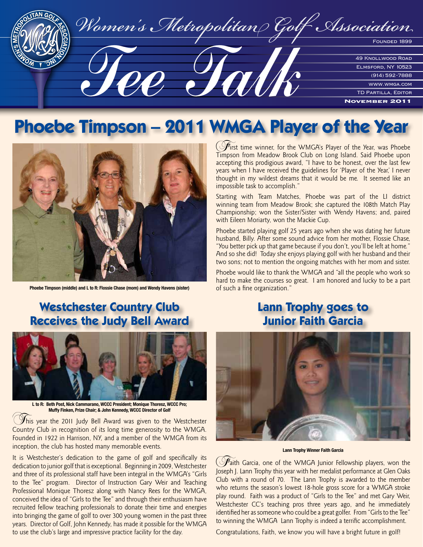

# **Phoebe Timpson – 2011 WMGA Player of the Year**



**Phoebe Timpson (middle) and L to R: Flossie Chase (mom) and Wendy Havens (sister)**

 $\Theta$  irst time winner, for the WMGA's Player of the Year, was Phoebe Timpson from Meadow Brook Club on Long Island. Said Phoebe upon accepting this prodigious award, "I have to be honest, over the last few years when I have received the guidelines for 'Player of the Year,' I never thought in my wildest dreams that it would be me. It seemed like an impossible task to accomplish."

Starting with Team Matches, Phoebe was part of the LI district winning team from Meadow Brook; she captured the 108th Match Play Championship; won the Sister/Sister with Wendy Havens; and, paired with Eileen Moriarty, won the Mackie Cup.

Phoebe started playing golf 25 years ago when she was dating her future husband, Billy. After some sound advice from her mother, Flossie Chase, "You better pick up that game because if you don't, you'll be left at home." And so she did! Today she enjoys playing golf with her husband and their two sons; not to mention the ongoing matches with her mom and sister.

Phoebe would like to thank the WMGA and "all the people who work so hard to make the courses so great. I am honored and lucky to be a part of such a fine organization."

#### **Westchester Country Club Receives the Judy Bell Award**



**L to R: Beth Post, Nick Cammarano, WCCC President; Monique Thoresz, WCCC Pro; Muffy Finken, Prize Chair; & John Kennedy, WCCC Director of Golf**

This year the 2011 Judy Bell Award was given to the Westchester Country Club in recognition of its long time generosity to the WMGA. Founded in 1922 in Harrison, NY, and a member of the WMGA from its inception, the club has hosted many memorable events.

It is Westchester's dedication to the game of golf and specifically its dedication to junior golf that is exceptional. Beginning in 2009, Westchester and three of its professional staff have been integral in the WMGA's "Girls to the Tee" program. Director of Instruction Gary Weir and Teaching Professional Monique Thoresz along with Nancy Rees for the WMGA, conceived the idea of "Girls to the Tee" and through their enthusiasm have recruited fellow teaching professionals to donate their time and energies into bringing the game of golf to over 300 young women in the past three years. Director of Golf, John Kennedy, has made it possible for the WMGA to use the club's large and impressive practice facility for the day.

#### **Lann Trophy goes to Junior Faith Garcia**



**Lann Trophy Winner Faith Garcia** 

 $\mathcal{F}_{\text{aith}}$  Garcia, one of the WMGA Junior Fellowship players, won the Joseph J. Lann Trophy this year with her medalist performance at Glen Oaks Club with a round of 70. The Lann Trophy is awarded to the member who returns the season's lowest 18-hole gross score for a WMGA stroke play round. Faith was a product of "Girls to the Tee" and met Gary Weir, Westchester CC's teaching pros three years ago, and he immediately identified her as someone who could be a great golfer. From "Girls to the Tee" to winning the WMGA Lann Trophy is indeed a terrific accomplishment.

Congratulations, Faith, we know you will have a bright future in golf!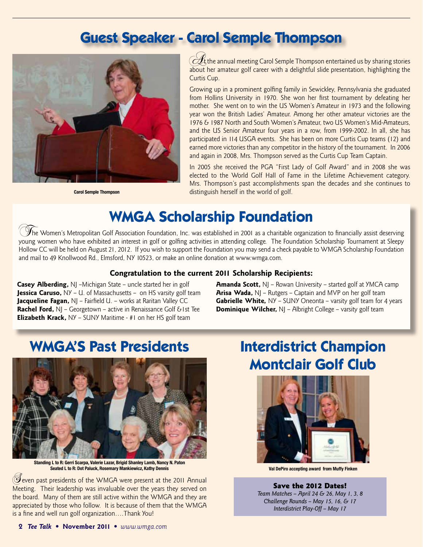## **Guest Speaker - Carol Semple Thompson**



 $\mathscr H$  the annual meeting Carol Semple Thompson entertained us by sharing stories about her amateur golf career with a delightful slide presentation, highlighting the Curtis Cup.

Growing up in a prominent golfing family in Sewickley, Pennsylvania she graduated from Hollins University in 1970. She won her first tournament by defeating her mother. She went on to win the US Women's Amateur in 1973 and the following year won the British Ladies' Amateur. Among her other amateur victories are the 1976 & 1987 North and South Women's Amateur, two US Women's Mid-Amateurs, and the US Senior Amateur four years in a row, from 1999-2002. In all, she has participated in 114 USGA events. She has been on more Curtis Cup teams (12) and earned more victories than any competitor in the history of the tournament. In 2006 and again in 2008, Mrs. Thompson served as the Curtis Cup Team Captain.

In 2005 she received the PGA "First Lady of Golf Award" and in 2008 she was elected to the World Golf Hall of Fame in the Lifetime Achievement category. Mrs. Thompson's past accomplishments span the decades and she continues to **Carol Semple Thompson** distinguish herself in the world of golf.

# **WMGA Scholarship Foundation**

 $\mathcal Y$ he Women's Metropolitan Golf Association Foundation, Inc. was established in 2001 as a charitable organization to financially assist deserving young women who have exhibited an interest in golf or golfing activities in attending college. The Foundation Scholarship Tournament at Sleepy Hollow CC will be held on August 21, 2012. If you wish to support the Foundation you may send a check payable to WMGA Scholarship Foundation and mail to 49 Knollwood Rd., Elmsford, NY 10523, or make an online donation at www.wmga.com.

#### **Congratulation to the current 2011 Scholarship Recipients:**

**Casey Alberding,** NJ –Michigan State – uncle started her in golf **Jessica Caruso,** NY - U. of Massachusetts - on HS varsity golf team **Jacqueline Fagan, NJ** – Fairfield U. – works at Raritan Valley CC **Rachel Ford,** NJ – Georgetown – active in Renaissance Golf & 1st Tee **Elizabeth Krack,** NY – SUNY Maritime - #1 on her HS golf team

**Amanda Scott,** NJ – Rowan University – started golf at YMCA camp **Arisa Wada,** NJ – Rutgers – Captain and MVP on her golf team **Gabrielle White,** NY - SUNY Oneonta - varsity golf team for 4 years **Dominique Wilcher,** NJ – Albright College – varsity golf team

## **WMGA'S Past Presidents**



**Standing L to R: Gerri Scarpa, Valerie Lazar, Brigid Shanley Lamb, Nancy N. Paton Seated L to R: Dot Paluck, Rosemary Mankiewicz, Kathy Dennis**

Geven past presidents of the WMGA were present at the 2011 Annual Meeting. Their leadership was invaluable over the years they served on the board. Many of them are still active within the WMGA and they are appreciated by those who follow. It is because of them that the WMGA is a fine and well run golf organization….Thank You!

# **Interdistrict Champion Montclair Golf Club**



**Val DePiro accepting award from Muffy Finken**

Save the 2012 Dates! *Team Matches – April 24 & 26, May 1, 3, 8 Challenge Rounds – May 15, 16, & 17 Interdistrict Play-Off – May 17*